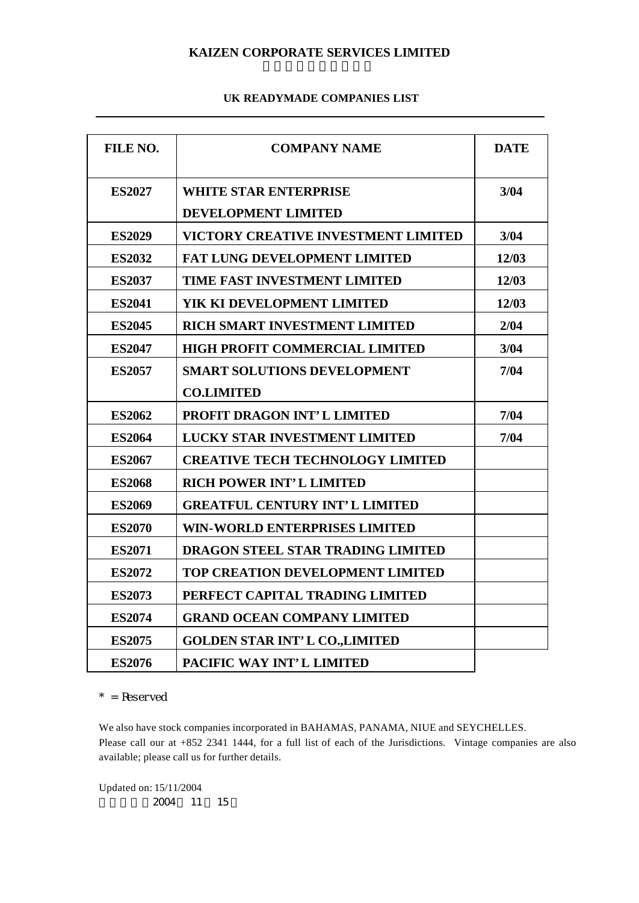# **KAIZEN CORPORATE SERVICES LIMITED**

#### **UK READYMADE COMPANIES LIST**

| FILE NO.      | <b>COMPANY NAME</b>                     | <b>DATE</b> |
|---------------|-----------------------------------------|-------------|
| <b>ES2027</b> | <b>WHITE STAR ENTERPRISE</b>            | 3/04        |
|               | DEVELOPMENT LIMITED                     |             |
| <b>ES2029</b> | VICTORY CREATIVE INVESTMENT LIMITED     | 3/04        |
| <b>ES2032</b> | <b>FAT LUNG DEVELOPMENT LIMITED</b>     | 12/03       |
| <b>ES2037</b> | TIME FAST INVESTMENT LIMITED            | 12/03       |
| <b>ES2041</b> | YIK KI DEVELOPMENT LIMITED              | 12/03       |
| <b>ES2045</b> | RICH SMART INVESTMENT LIMITED           | 2/04        |
| <b>ES2047</b> | <b>HIGH PROFIT COMMERCIAL LIMITED</b>   | 3/04        |
| <b>ES2057</b> | <b>SMART SOLUTIONS DEVELOPMENT</b>      | 7/04        |
|               | <b>CO.LIMITED</b>                       |             |
| <b>ES2062</b> | <b>PROFIT DRAGON INT' L LIMITED</b>     | 7/04        |
| <b>ES2064</b> | <b>LUCKY STAR INVESTMENT LIMITED</b>    | 7/04        |
| <b>ES2067</b> | <b>CREATIVE TECH TECHNOLOGY LIMITED</b> |             |
| <b>ES2068</b> | <b>RICH POWER INT'L LIMITED</b>         |             |
| <b>ES2069</b> | <b>GREATFUL CENTURY INT'L LIMITED</b>   |             |
| <b>ES2070</b> | <b>WIN-WORLD ENTERPRISES LIMITED</b>    |             |
| <b>ES2071</b> | DRAGON STEEL STAR TRADING LIMITED       |             |
| <b>ES2072</b> | TOP CREATION DEVELOPMENT LIMITED        |             |
| <b>ES2073</b> | PERFECT CAPITAL TRADING LIMITED         |             |
| <b>ES2074</b> | <b>GRAND OCEAN COMPANY LIMITED</b>      |             |
| <b>ES2075</b> | <b>GOLDEN STAR INT'L CO., LIMITED</b>   |             |
| <b>ES2076</b> | PACIFIC WAY INT'L LIMITED               |             |

 $*$  = Reserved

We also have stock companies incorporated in BAHAMAS, PANAMA, NIUE and SEYCHELLES. Please call our at +852 2341 1444, for a full list of each of the Jurisdictions. Vintage companies are also available; please call us for further details.

Updated on: 15/11/2004 更新日期 2004 11 15